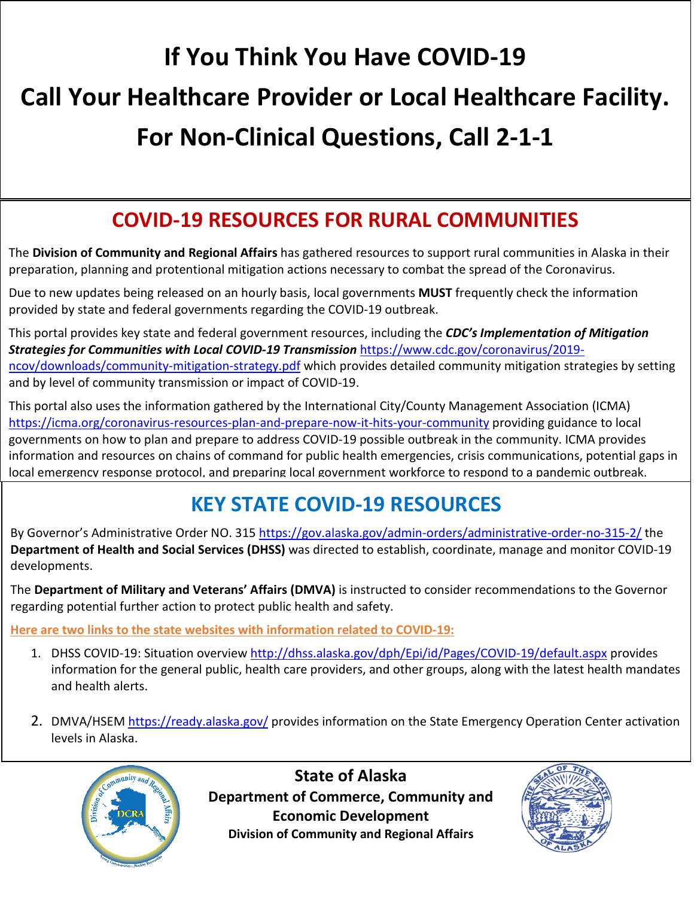# **If You Think You Have COVID-19 Call Your Healthcare Provider or Local Healthcare Facility. For Non-Clinical Questions, Call 2-1-1**

#### **COVID-19 RESOURCES FOR RURAL COMMUNITIES**

The **Division of Community and Regional Affairs** has gathered resources to support rural communities in Alaska in their preparation, planning and protentional mitigation actions necessary to combat the spread of the Coronavirus.

Due to new updates being released on an hourly basis, local governments **MUST** frequently check the information provided by state and federal governments regarding the COVID-19 outbreak.

This portal provides key state and federal government resources, including the *CDC's Implementation of Mitigation Strategies for Communities with Local COVID-19 Transmission* [https://www.cdc.gov/coronavirus/2019](https://www.cdc.gov/coronavirus/2019-ncov/downloads/community-mitigation-strategy.pdf) [ncov/downloads/community-mitigation-strategy.pdf](https://www.cdc.gov/coronavirus/2019-ncov/downloads/community-mitigation-strategy.pdf) which provides detailed community mitigation strategies by setting and by level of community transmission or impact of COVID-19.

This portal also uses the information gathered by the International City/County Management Association (ICMA) <https://icma.org/coronavirus-resources-plan-and-prepare-now-it-hits-your-community> providing guidance to local governments on how to plan and prepare to address COVID-19 possible outbreak in the community. ICMA provides information and resources on chains of command for public health emergencies, crisis communications, potential gaps in local emergency response protocol, and preparing local government workforce to respond to a pandemic outbreak.

### **KEY STATE COVID-19 RESOURCES**

By Governor's Administrative Order NO. 315 <https://gov.alaska.gov/admin-orders/administrative-order-no-315-2/> the **Department of Health and Social Services (DHSS)** was directed to establish, coordinate, manage and monitor COVID-19 developments.

The **Department of Military and Veterans' Affairs (DMVA)** is instructed to consider recommendations to the Governor regarding potential further action to protect public health and safety.

**Here are two links to the state websites with information related to COVID-19:** 

- 1. DHSS COVID-19: Situation overview <http://dhss.alaska.gov/dph/Epi/id/Pages/COVID-19/default.aspx> provides information for the general public, health care providers, and other groups, along with the latest health mandates and health alerts.
- 2. DMVA/HSEM<https://ready.alaska.gov/> provides information on the State Emergency Operation Center activation levels in Alaska.



**State of Alaska Department of Commerce, Community and Economic Development Division of Community and Regional Affairs**

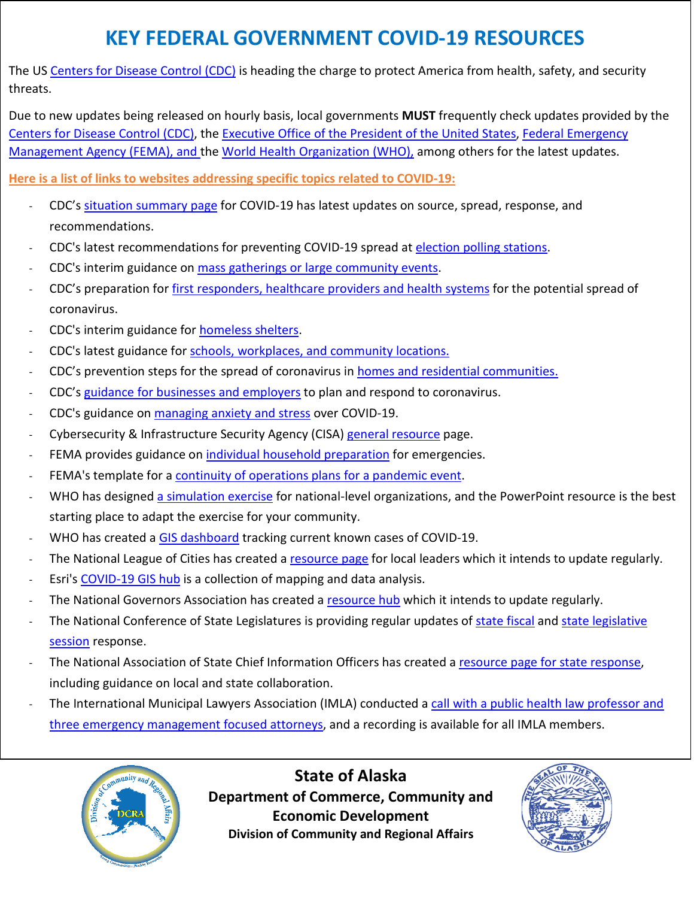#### **KEY FEDERAL GOVERNMENT COVID-19 RESOURCES**

The US [Centers for Disease Control \(CDC\)](https://www.cdc.gov/coronavirus/2019-ncov/summary.html) is heading the charge to protect America from health, safety, and security threats.

Due to new updates being released on hourly basis, local governments **MUST** frequently check updates provided by the [Centers for Disease Control \(CDC\),](https://www.cdc.gov/coronavirus/2019-ncov/summary.html) the [Executive Office of the President of the United States,](https://www.whitehouse.gov/) [Federal Emergency](https://www.fema.gov/)  [Management Agency \(FEMA\),](https://www.fema.gov/) and th[e World Health Organization \(WHO\),](https://www.who.int/emergencies/diseases/novel-coronavirus-2019) among others for the latest updates.

**Here is a list of links to websites addressing specific topics related to COVID-19:** 

- CDC's [situation summary page](https://www.cdc.gov/coronavirus/2019-ncov/summary.html) for COVID-19 has latest updates on source, spread, response, and recommendations.
- CDC's latest recommendations for preventing COVID-19 spread at [election polling stations.](https://www.cdc.gov/coronavirus/2019-ncov/community/election-polling-locations.html)
- CDC's interim guidance on [mass gatherings](https://www.cdc.gov/coronavirus/2019-ncov/community/mass-gatherings-ready-for-covid-19.html) [or large community events.](https://www.cdc.gov/coronavirus/2019-ncov/community/large-events/mass-gatherings-ready-for-covid-19.html)
- CDC's preparation fo[r first responders, healthcare providers and health systems](https://www.cdc.gov/coronavirus/2019-ncov/php/preparing-communities.html) for the potential spread of coronavirus.
- CDC's interim guidance for [homeless shelters.](https://www.cdc.gov/coronavirus/2019-ncov/community/homeless-shelters/plan-prepare-respond.html)
- CDC's latest guidance for schools, [workplaces, and community locations.](https://www.cdc.gov/coronavirus/2019-ncov/community/index.html)
- CDC's prevention steps for the spread of coronavirus in [homes and residential communities.](https://www.cdc.gov/coronavirus/2019-ncov/hcp/guidance-prevent-spread.html)
- CDC's [guidance for businesses and employers](https://www.cdc.gov/coronavirus/2019-ncov/specific-groups/guidance-business-response.html) to plan and respond to coronavirus.
- CDC's guidance on [managing anxiety and stress](https://www.cdc.gov/coronavirus/2019-ncov/prepare/managing-stress-anxiety.html) over COVID-19.
- Cybersecurity & Infrastructure Security Agency (CISA) [general resource](https://www.cisa.gov/coronavirus) page.
- FEMA provides guidance on [individual household preparation](https://www.fema.gov/pdf/library/f&web.pdf) for emergencies.
- FEMA's template for a continuity [of operations plans for a pandemic event.](https://www.fema.gov/media-library/assets/documents/93250)
- WHO has designe[d a simulation exercise](https://www.who.int/emergencies/diseases/novel-coronavirus-2019/training/simulation-exercise) for national-level organizations, and the PowerPoint resource is the best starting place to adapt the exercise for your community.
- WHO has created a [GIS dashboard](https://experience.arcgis.com/experience/685d0ace521648f8a5beeeee1b9125cd) tracking current known cases of COVID-19.
- The National League of Cities has created a [resource page](https://www.nlc.org/resource/coronavirus-response-resources-for-local-leaders) for local leaders which it intends to update regularly.
- Esri's [COVID-19 GIS hub](https://coronavirus-disasterresponse.hub.arcgis.com/?adumkts=marketing&aduse=public_safety&aduc=industry_manager_outreach&utm_Source=industry_manager_outreach&aduca=cra_disaster_response_program&adut=cv-outreach-redirect&adulb=multiple&adusn=multiple&aduat=arcgis_online_portal&adupt=community&sf_id=701f2000000n6XKAAY) is a collection of mapping and data analysis.
- The National Governors Association has created a [resource hub](https://www.nga.org/coronavirus/#states) which it intends to update regularly.
- The National Conference of State Legislatures is providing regular updates of [state fiscal](https://www.ncsl.org/research/fiscal-policy/state-fiscal-responses-to-covid-19.aspx) and state legislative [session](https://www.ncsl.org/research/about-state-legislatures/legislative-sessions-and-the-coronavirus.aspx) response.
- The National Association of State Chief Information Officers has created a [resource page for state response,](https://www.nascio.org/resource-center/resources/covid-19-planning-and-response-guidance-for-state-cios/) including guidance on local and state collaboration.
- The International Municipal Lawyers Association (IMLA) conducted a call with a public health law professor and [three emergency management focused attorneys,](https://imla.org/publications/magazine-archives/3132-coronavirus-covid-19-preparation) and a recording is available for all IMLA members.



**State of Alaska Department of Commerce, Community and Economic Development Division of Community and Regional Affairs**